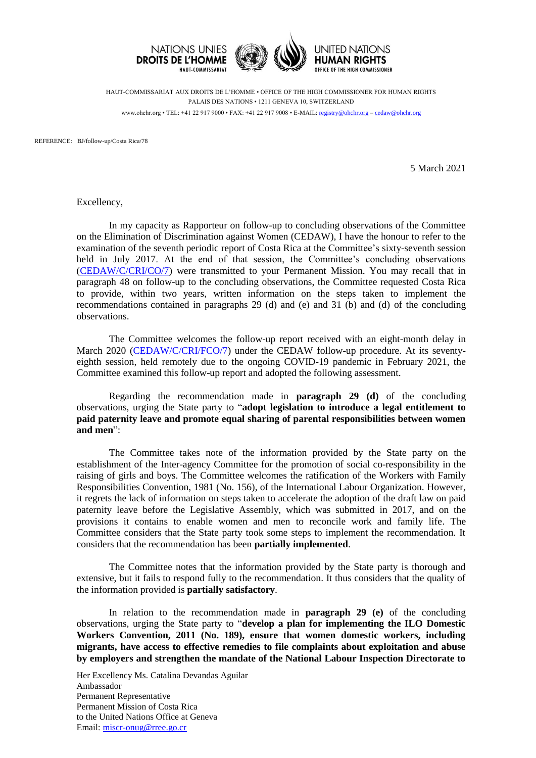

HAUT-COMMISSARIAT AUX DROITS DE L'HOMME • OFFICE OF THE HIGH COMMISSIONER FOR HUMAN RIGHTS PALAIS DES NATIONS • 1211 GENEVA 10, SWITZERLAND www.ohchr.org • TEL: +41 22 917 9000 • FAX: +41 22 917 9008 • E-MAIL: [registry@ohchr.org](mailto:registry@ohchr.org) – [cedaw@ohchr.org](mailto:cedaw@ohchr.org)

REFERENCE: BJ/follow-up/Costa Rica/78

5 March 2021

Excellency,

In my capacity as Rapporteur on follow-up to concluding observations of the Committee on the Elimination of Discrimination against Women (CEDAW), I have the honour to refer to the examination of the seventh periodic report of Costa Rica at the Committee's sixty-seventh session held in July 2017. At the end of that session, the Committee's concluding observations [\(CEDAW/C/CRI/CO/7\)](https://undocs.org/CEDAW/C/CRI/CO/7) were transmitted to your Permanent Mission. You may recall that in paragraph 48 on follow-up to the concluding observations, the Committee requested Costa Rica to provide, within two years, written information on the steps taken to implement the recommendations contained in paragraphs 29 (d) and (e) and 31 (b) and (d) of the concluding observations.

The Committee welcomes the follow-up report received with an eight-month delay in March 2020 [\(CEDAW/C/CRI/FCO/7\)](https://undocs.org/CEDAW/C/CRI/FCO/7) under the CEDAW follow-up procedure. At its seventyeighth session, held remotely due to the ongoing COVID-19 pandemic in February 2021, the Committee examined this follow-up report and adopted the following assessment.

Regarding the recommendation made in **paragraph 29 (d)** of the concluding observations, urging the State party to "**adopt legislation to introduce a legal entitlement to paid paternity leave and promote equal sharing of parental responsibilities between women and men**":

The Committee takes note of the information provided by the State party on the establishment of the Inter-agency Committee for the promotion of social co-responsibility in the raising of girls and boys. The Committee welcomes the ratification of the Workers with Family Responsibilities Convention, 1981 (No. 156), of the International Labour Organization. However, it regrets the lack of information on steps taken to accelerate the adoption of the draft law on paid paternity leave before the Legislative Assembly, which was submitted in 2017, and on the provisions it contains to enable women and men to reconcile work and family life. The Committee considers that the State party took some steps to implement the recommendation. It considers that the recommendation has been **partially implemented**.

The Committee notes that the information provided by the State party is thorough and extensive, but it fails to respond fully to the recommendation. It thus considers that the quality of the information provided is **partially satisfactory**.

In relation to the recommendation made in **paragraph 29 (e)** of the concluding observations, urging the State party to "**develop a plan for implementing the ILO Domestic Workers Convention, 2011 (No. 189), ensure that women domestic workers, including migrants, have access to effective remedies to file complaints about exploitation and abuse by employers and strengthen the mandate of the National Labour Inspection Directorate to** 

Her Excellency Ms. Catalina Devandas Aguilar Ambassador Permanent Representative Permanent Mission of Costa Rica to the United Nations Office at Geneva Email: [miscr-onug@rree.go.cr](mailto:miscr-onug@rree.go.cr)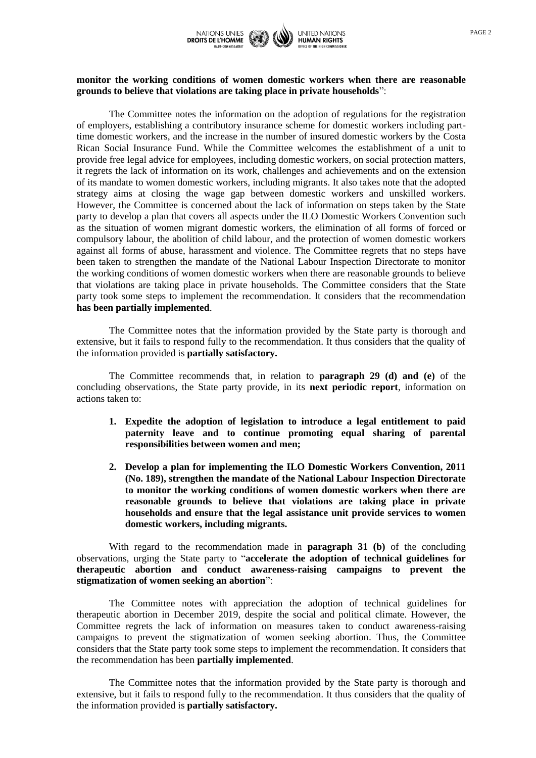

## **monitor the working conditions of women domestic workers when there are reasonable grounds to believe that violations are taking place in private households**":

The Committee notes the information on the adoption of regulations for the registration of employers, establishing a contributory insurance scheme for domestic workers including parttime domestic workers, and the increase in the number of insured domestic workers by the Costa Rican Social Insurance Fund. While the Committee welcomes the establishment of a unit to provide free legal advice for employees, including domestic workers, on social protection matters, it regrets the lack of information on its work, challenges and achievements and on the extension of its mandate to women domestic workers, including migrants. It also takes note that the adopted strategy aims at closing the wage gap between domestic workers and unskilled workers. However, the Committee is concerned about the lack of information on steps taken by the State party to develop a plan that covers all aspects under the ILO Domestic Workers Convention such as the situation of women migrant domestic workers, the elimination of all forms of forced or compulsory labour, the abolition of child labour, and the protection of women domestic workers against all forms of abuse, harassment and violence. The Committee regrets that no steps have been taken to strengthen the mandate of the National Labour Inspection Directorate to monitor the working conditions of women domestic workers when there are reasonable grounds to believe that violations are taking place in private households. The Committee considers that the State party took some steps to implement the recommendation. It considers that the recommendation **has been partially implemented**.

The Committee notes that the information provided by the State party is thorough and extensive, but it fails to respond fully to the recommendation. It thus considers that the quality of the information provided is **partially satisfactory.**

The Committee recommends that, in relation to **paragraph 29 (d) and (e)** of the concluding observations, the State party provide, in its **next periodic report**, information on actions taken to:

- **1. Expedite the adoption of legislation to introduce a legal entitlement to paid paternity leave and to continue promoting equal sharing of parental responsibilities between women and men;**
- **2. Develop a plan for implementing the ILO Domestic Workers Convention, 2011 (No. 189), strengthen the mandate of the National Labour Inspection Directorate to monitor the working conditions of women domestic workers when there are reasonable grounds to believe that violations are taking place in private households and ensure that the legal assistance unit provide services to women domestic workers, including migrants.**

With regard to the recommendation made in **paragraph 31 (b)** of the concluding observations, urging the State party to "**accelerate the adoption of technical guidelines for therapeutic abortion and conduct awareness-raising campaigns to prevent the stigmatization of women seeking an abortion**":

The Committee notes with appreciation the adoption of technical guidelines for therapeutic abortion in December 2019, despite the social and political climate. However, the Committee regrets the lack of information on measures taken to conduct awareness-raising campaigns to prevent the stigmatization of women seeking abortion. Thus, the Committee considers that the State party took some steps to implement the recommendation. It considers that the recommendation has been **partially implemented**.

The Committee notes that the information provided by the State party is thorough and extensive, but it fails to respond fully to the recommendation. It thus considers that the quality of the information provided is **partially satisfactory.**